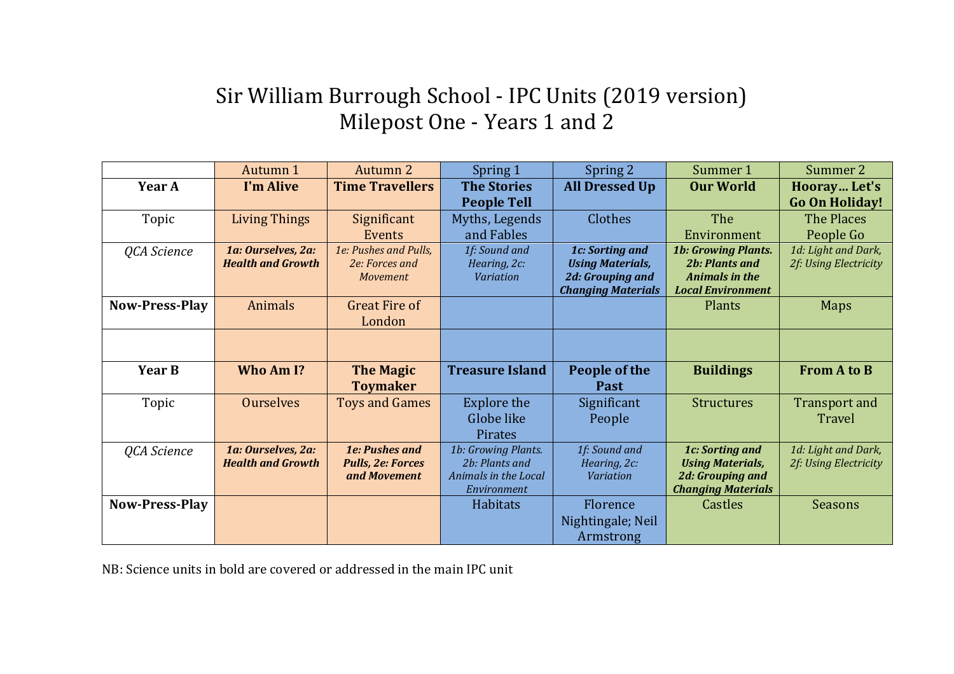## Sir William Burrough School - IPC Units (2019 version) Milepost One - Years 1 and 2

|                       | Autumn 1                 | <b>Autumn 2</b>          | Spring 1               | Spring 2                  | Summer 1                   | Summer 2              |
|-----------------------|--------------------------|--------------------------|------------------------|---------------------------|----------------------------|-----------------------|
| Year A                | I'm Alive                | <b>Time Travellers</b>   | <b>The Stories</b>     | <b>All Dressed Up</b>     | <b>Our World</b>           | Hooray Let's          |
|                       |                          |                          | <b>People Tell</b>     |                           |                            | <b>Go On Holiday!</b> |
| Topic                 | <b>Living Things</b>     | Significant              | Myths, Legends         | Clothes                   | The                        | The Places            |
|                       |                          | Events                   | and Fables             |                           | Environment                | People Go             |
| QCA Science           | 1a: Ourselves, 2a:       | 1e: Pushes and Pulls,    | 1f: Sound and          | 1c: Sorting and           | <b>1b: Growing Plants.</b> | 1d: Light and Dark,   |
|                       | <b>Health and Growth</b> | 2e: Forces and           | Hearing, 2c:           | <b>Using Materials,</b>   | <b>2b: Plants and</b>      | 2f: Using Electricity |
|                       |                          | <b>Movement</b>          | <b>Variation</b>       | 2d: Grouping and          | Animals in the             |                       |
|                       |                          |                          |                        | <b>Changing Materials</b> | <b>Local Environment</b>   |                       |
| <b>Now-Press-Play</b> | Animals                  | <b>Great Fire of</b>     |                        |                           | Plants                     | Maps                  |
|                       |                          | London                   |                        |                           |                            |                       |
|                       |                          |                          |                        |                           |                            |                       |
|                       |                          |                          |                        |                           |                            |                       |
| Year B                | Who Am I?                | <b>The Magic</b>         | <b>Treasure Island</b> | People of the             | <b>Buildings</b>           | <b>From A to B</b>    |
|                       |                          | <b>Toymaker</b>          |                        | Past                      |                            |                       |
| Topic                 | <b>Ourselves</b>         | <b>Toys and Games</b>    | <b>Explore the</b>     | Significant               | <b>Structures</b>          | <b>Transport and</b>  |
|                       |                          |                          | Globe like             | People                    |                            | Travel                |
|                       |                          |                          | <b>Pirates</b>         |                           |                            |                       |
| QCA Science           | 1a: Ourselves, 2a:       | <b>1e: Pushes and</b>    | 1b: Growing Plants.    | 1f: Sound and             | 1c: Sorting and            | 1d: Light and Dark,   |
|                       | <b>Health and Growth</b> | <b>Pulls, 2e: Forces</b> | 2b: Plants and         | Hearing, 2c:              | <b>Using Materials,</b>    | 2f: Using Electricity |
|                       |                          | and Movement             | Animals in the Local   | <b>Variation</b>          | 2d: Grouping and           |                       |
|                       |                          |                          | Environment            |                           | <b>Changing Materials</b>  |                       |
| <b>Now-Press-Play</b> |                          |                          | Habitats               | Florence                  | Castles                    | <b>Seasons</b>        |
|                       |                          |                          |                        | Nightingale; Neil         |                            |                       |
|                       |                          |                          |                        | Armstrong                 |                            |                       |

NB: Science units in bold are covered or addressed in the main IPC unit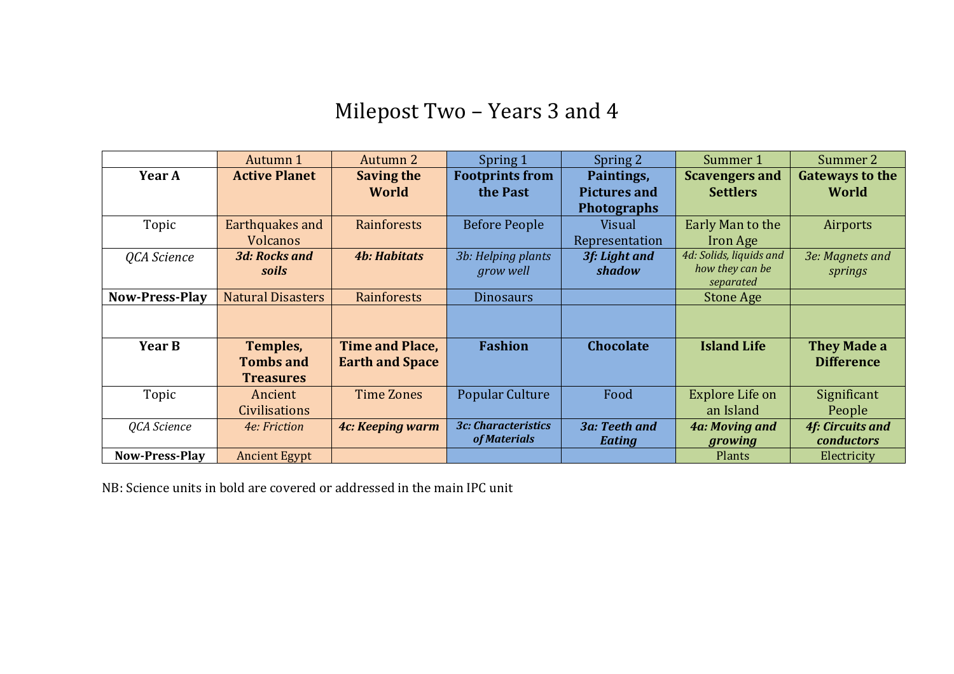## Milepost Two - Years 3 and 4

|                       | Autumn 1                 | Autumn 2               | Spring 1                   | Spring 2             | Summer 1                | Summer 2                |
|-----------------------|--------------------------|------------------------|----------------------------|----------------------|-------------------------|-------------------------|
| Year A                | <b>Active Planet</b>     | <b>Saving the</b>      | <b>Footprints from</b>     | Paintings,           | <b>Scavengers and</b>   | <b>Gateways to the</b>  |
|                       |                          | World                  | the Past                   | <b>Pictures and</b>  | <b>Settlers</b>         | World                   |
|                       |                          |                        |                            | <b>Photographs</b>   |                         |                         |
| Topic                 | Earthquakes and          | Rainforests            | <b>Before People</b>       | Visual               | Early Man to the        | Airports                |
|                       | Volcanos                 |                        |                            | Representation       | Iron Age                |                         |
| QCA Science           | <b>3d: Rocks and</b>     | <b>4b: Habitats</b>    | 3b: Helping plants         | 3f: Light and        | 4d: Solids, liquids and | 3e: Magnets and         |
|                       | soils                    |                        | grow well                  | shadow               | how they can be         | springs                 |
|                       |                          |                        |                            |                      | separated               |                         |
| <b>Now-Press-Play</b> | <b>Natural Disasters</b> | Rainforests            | <b>Dinosaurs</b>           |                      | <b>Stone Age</b>        |                         |
|                       |                          |                        |                            |                      |                         |                         |
|                       |                          |                        |                            |                      |                         |                         |
| Year B                | Temples,                 | <b>Time and Place,</b> | <b>Fashion</b>             | Chocolate            | <b>Island Life</b>      | <b>They Made a</b>      |
|                       | <b>Tombs and</b>         | <b>Earth and Space</b> |                            |                      |                         | <b>Difference</b>       |
|                       | <b>Treasures</b>         |                        |                            |                      |                         |                         |
| Topic                 | Ancient                  | <b>Time Zones</b>      | <b>Popular Culture</b>     | Food                 | Explore Life on         | Significant             |
|                       | <b>Civilisations</b>     |                        |                            |                      | an Island               | People                  |
| QCA Science           | 4e: Friction             | 4c: Keeping warm       | <b>3c: Characteristics</b> | <b>3a: Teeth and</b> | 4a: Moving and          | <b>4f: Circuits and</b> |
|                       |                          |                        | of Materials               | <b>Eating</b>        | growing                 | conductors              |
| <b>Now-Press-Play</b> | <b>Ancient Egypt</b>     |                        |                            |                      | Plants                  | Electricity             |

NB: Science units in bold are covered or addressed in the main IPC unit